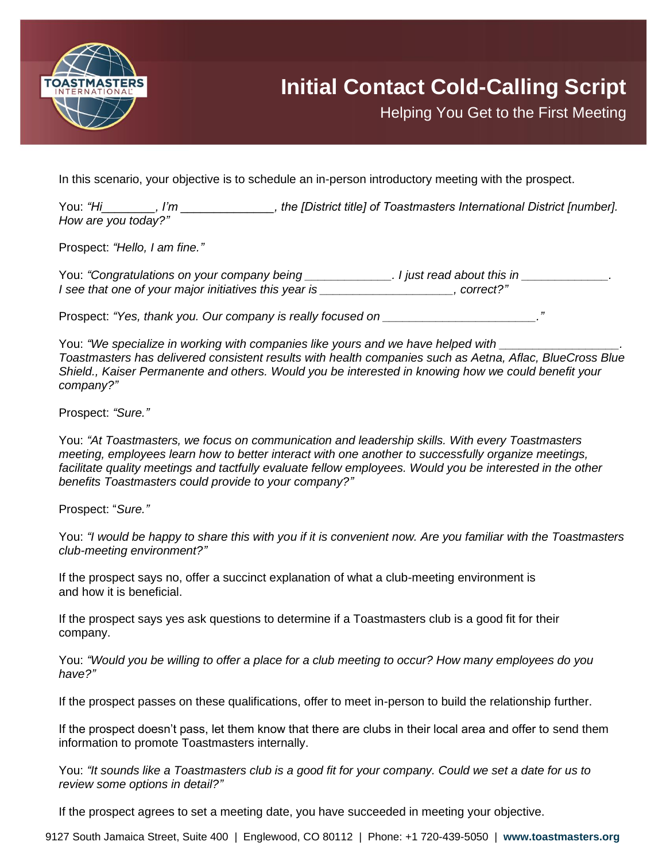

Helping You Get to the First Meeting

In this scenario, your objective is to schedule an in-person introductory meeting with the prospect.

You: *"Hi\_\_\_\_\_\_\_\_, I'm \_\_\_\_\_\_\_\_\_\_\_\_\_\_, the [District title] of Toastmasters International District [number]. How are you today?"*

Prospect: *"Hello, I am fine."*

You: *"Congratulations on your company being \_\_\_\_\_\_\_\_\_\_\_\_\_. I just read about this in \_\_\_\_\_\_\_\_\_\_\_\_\_. I see that one of your major initiatives this year is \_\_\_\_\_\_\_\_\_\_\_\_\_\_\_\_\_\_\_\_, correct?"*

Prospect: "Yes, thank you. Our company is really focused on **with all assets** 

You: *"We specialize in working with companies like yours and we have helped with \_\_\_\_\_\_\_\_\_\_\_\_\_\_\_\_\_\_. Toastmasters has delivered consistent results with health companies such as Aetna, Aflac, BlueCross Blue Shield., Kaiser Permanente and others. Would you be interested in knowing how we could benefit your company?"*

Prospect: *"Sure."*

You: *"At Toastmasters, we focus on communication and leadership skills. With every Toastmasters meeting, employees learn how to better interact with one another to successfully organize meetings, facilitate quality meetings and tactfully evaluate fellow employees. Would you be interested in the other benefits Toastmasters could provide to your company?"*

Prospect: "*Sure."*

You: *"I would be happy to share this with you if it is convenient now. Are you familiar with the Toastmasters club-meeting environment?"*

If the prospect says no, offer a succinct explanation of what a club-meeting environment is and how it is beneficial.

If the prospect says yes ask questions to determine if a Toastmasters club is a good fit for their company.

You: *"Would you be willing to offer a place for a club meeting to occur? How many employees do you have?"*

If the prospect passes on these qualifications, offer to meet in-person to build the relationship further.

If the prospect doesn't pass, let them know that there are clubs in their local area and offer to send them information to promote Toastmasters internally.

You: *"It sounds like a Toastmasters club is a good fit for your company. Could we set a date for us to review some options in detail?"*

If the prospect agrees to set a meeting date, you have succeeded in meeting your objective.

9127 South Jamaica Street, Suite 400 | Englewood, CO 80112 | Phone: +1 720-439-5050 | **www.toastmasters.org**